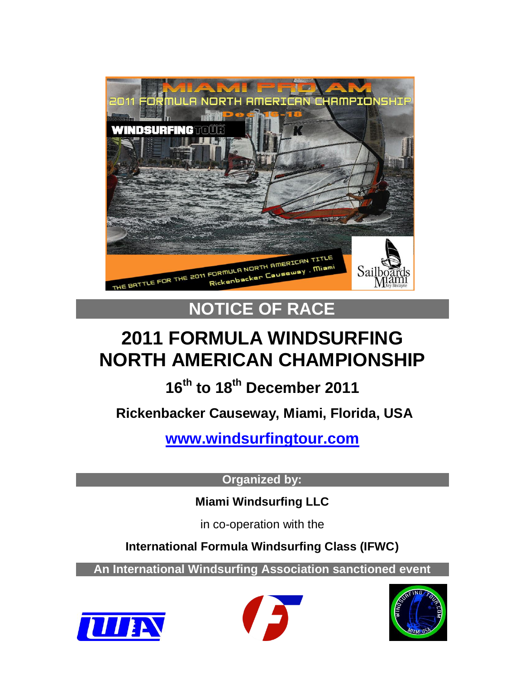

# **NOTICE OF RACE**

# **2011 FORMULA WINDSURFING NORTH AMERICAN CHAMPIONSHIP**

# **16th to 18th December 2011**

**Rickenbacker Causeway, Miami, Florida, USA**

**[www.windsurfingtour.com](http://www.windsurfingtour.com/)**

**Organized by:**

**Miami Windsurfing LLC**

in co-operation with the

**International Formula Windsurfing Class (IFWC)**

**An International Windsurfing Association sanctioned event**





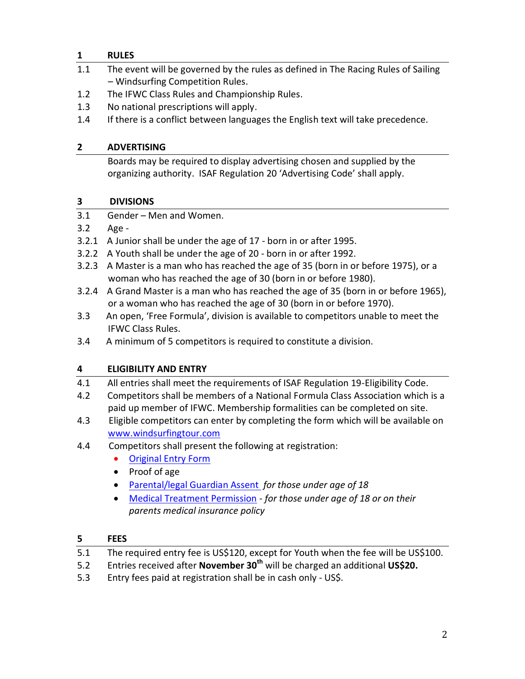# **1 RULES**

- 1.1 The event will be governed by the rules as defined in The Racing Rules of Sailing – Windsurfing Competition Rules.
- 1.2 The IFWC Class Rules and Championship Rules.
- 1.3 No national prescriptions will apply.
- 1.4 If there is a conflict between languages the English text will take precedence.

# **2 ADVERTISING**

Boards may be required to display advertising chosen and supplied by the organizing authority. ISAF Regulation 20 'Advertising Code' shall apply.

# **3 DIVISIONS**

- 3.1 Gender Men and Women.
- 3.2 Age -
- 3.2.1 A Junior shall be under the age of 17 born in or after 1995.
- 3.2.2 A Youth shall be under the age of 20 born in or after 1992.
- 3.2.3 A Master is a man who has reached the age of 35 (born in or before 1975), or a woman who has reached the age of 30 (born in or before 1980).
- 3.2.4 A Grand Master is a man who has reached the age of 35 (born in or before 1965), or a woman who has reached the age of 30 (born in or before 1970).
- 3.3 An open, 'Free Formula', division is available to competitors unable to meet the IFWC Class Rules.
- 3.4 A minimum of 5 competitors is required to constitute a division.

# **4 ELIGIBILITY AND ENTRY**

- 4.1 All entries shall meet the requirements of ISAF Regulation 19-Eligibility Code.
- 4.2 Competitors shall be members of a National Formula Class Association which is a paid up member of IFWC. Membership formalities can be completed on site.
- 4.3 Eligible competitors can enter by completing the form which will be available on [www.windsurfingtour.com](http://www.windsurfingtour.com/)
- 4.4 Competitors shall present the following at registration:
	- [Original Entry Form](http://www.internationalwindsurfing.com/userfiles/documents/FW_North_Americans_Miami_2011_Form_1.pdf)
	- Proof of age
	- [Parental/legal Guardian Assent](http://www.internationalwindsurfing.com/userfiles/documents/FW_North_Americans_Miami_2011_Form_2.pdf) *for those under age of 18*
	- [Medical Treatment Permission](http://www.internationalwindsurfing.com/userfiles/documents/FW_North_Americans_Miami_2011_Form_3.pdf) *- for those under age of 18 or on their parents medical insurance policy*

## **5 FEES**

- 5.1 The required entry fee is US\$120, except for Youth when the fee will be US\$100.
- 5.2 Entries received after **November 30th** will be charged an additional **US\$20.**
- 5.3 Entry fees paid at registration shall be in cash only US\$.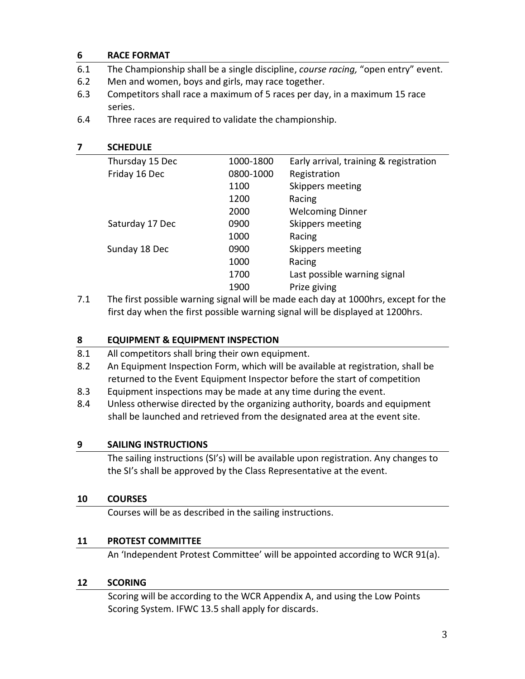#### **6 RACE FORMAT**

- 6.1 The Championship shall be a single discipline, *course racing,* "open entry" event.
- 6.2 Men and women, boys and girls, may race together.
- 6.3 Competitors shall race a maximum of 5 races per day, in a maximum 15 race series.
- 6.4 Three races are required to validate the championship.

#### **7 SCHEDULE**

| Thursday 15 Dec | 1000-1800 | Early arrival, training & registration |
|-----------------|-----------|----------------------------------------|
| Friday 16 Dec   | 0800-1000 | Registration                           |
|                 | 1100      | Skippers meeting                       |
|                 | 1200      | Racing                                 |
|                 | 2000      | <b>Welcoming Dinner</b>                |
| Saturday 17 Dec | 0900      | Skippers meeting                       |
|                 | 1000      | Racing                                 |
| Sunday 18 Dec   | 0900      | Skippers meeting                       |
|                 | 1000      | Racing                                 |
|                 | 1700      | Last possible warning signal           |
|                 | 1900      | Prize giving                           |
|                 |           |                                        |

7.1 The first possible warning signal will be made each day at 1000hrs, except for the first day when the first possible warning signal will be displayed at 1200hrs.

### **8 EQUIPMENT & EQUIPMENT INSPECTION**

- 8.1 All competitors shall bring their own equipment.
- 8.2 An Equipment Inspection Form, which will be available at registration, shall be returned to the Event Equipment Inspector before the start of competition
- 8.3 Equipment inspections may be made at any time during the event.
- 8.4 Unless otherwise directed by the organizing authority, boards and equipment shall be launched and retrieved from the designated area at the event site.

#### **9 SAILING INSTRUCTIONS**

The sailing instructions (SI's) will be available upon registration. Any changes to the SI's shall be approved by the Class Representative at the event.

#### **10 COURSES**

Courses will be as described in the sailing instructions.

#### **11 PROTEST COMMITTEE**

An 'Independent Protest Committee' will be appointed according to WCR 91(a).

#### **12 SCORING**

Scoring will be according to the WCR Appendix A, and using the Low Points Scoring System. IFWC 13.5 shall apply for discards.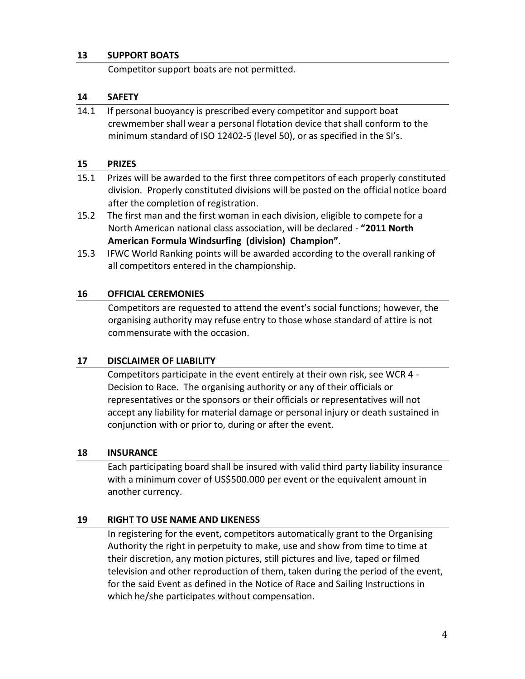#### **13 SUPPORT BOATS**

Competitor support boats are not permitted.

#### **14 SAFETY**

14.1 If personal buoyancy is prescribed every competitor and support boat crewmember shall wear a personal flotation device that shall conform to the minimum standard of ISO 12402-5 (level 50), or as specified in the SI's.

#### **15 PRIZES**

- 15.1 Prizes will be awarded to the first three competitors of each properly constituted division. Properly constituted divisions will be posted on the official notice board after the completion of registration.
- 15.2 The first man and the first woman in each division, eligible to compete for a North American national class association, will be declared - **"2011 North American Formula Windsurfing (division) Champion"**.
- 15.3 IFWC World Ranking points will be awarded according to the overall ranking of all competitors entered in the championship.

#### **16 OFFICIAL CEREMONIES**

Competitors are requested to attend the event's social functions; however, the organising authority may refuse entry to those whose standard of attire is not commensurate with the occasion.

#### **17 DISCLAIMER OF LIABILITY**

Competitors participate in the event entirely at their own risk, see WCR 4 - Decision to Race. The organising authority or any of their officials or representatives or the sponsors or their officials or representatives will not accept any liability for material damage or personal injury or death sustained in conjunction with or prior to, during or after the event.

#### **18 INSURANCE**

Each participating board shall be insured with valid third party liability insurance with a minimum cover of US\$500.000 per event or the equivalent amount in another currency.

#### **19 RIGHT TO USE NAME AND LIKENESS**

In registering for the event, competitors automatically grant to the Organising Authority the right in perpetuity to make, use and show from time to time at their discretion, any motion pictures, still pictures and live, taped or filmed television and other reproduction of them, taken during the period of the event, for the said Event as defined in the Notice of Race and Sailing Instructions in which he/she participates without compensation.